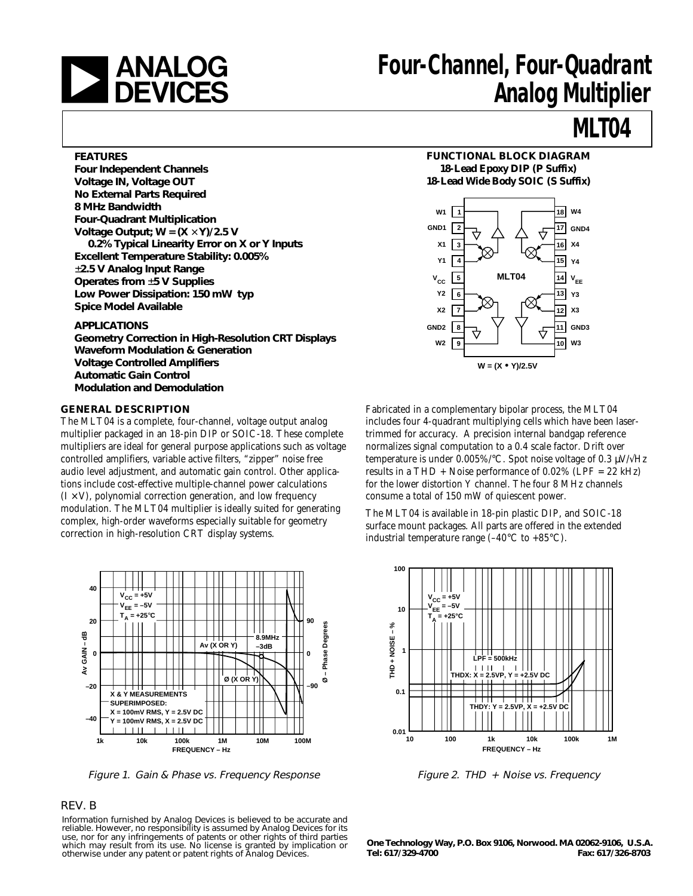

# **Four-Channel, Four-Quadrant Analog Multiplier**

## **MLT04**

### **FEATURES**

**Four Independent Channels Voltage IN, Voltage OUT No External Parts Required 8 MHz Bandwidth Four-Quadrant Multiplication Voltage Output; W = (X** × **Y)/2.5 V 0.2% Typical Linearity Error on X or Y Inputs Excellent Temperature Stability: 0.005%** ±**2.5 V Analog Input Range Operates from** ±**5 V Supplies Low Power Dissipation: 150 mW typ Spice Model Available**

#### **APPLICATIONS**

**Geometry Correction in High-Resolution CRT Displays Waveform Modulation & Generation Voltage Controlled Amplifiers Automatic Gain Control Modulation and Demodulation**

### **GENERAL DESCRIPTION**

The MLT04 is a complete, four-channel, voltage output analog multiplier packaged in an 18-pin DIP or SOIC-18. These complete multipliers are ideal for general purpose applications such as voltage controlled amplifiers, variable active filters, "zipper" noise free audio level adjustment, and automatic gain control. Other applications include cost-effective multiple-channel power calculations  $(I \times V)$ , polynomial correction generation, and low frequency modulation. The MLT04 multiplier is ideally suited for generating complex, high-order waveforms especially suitable for geometry correction in high-resolution CRT display systems.



Figure 1. Gain & Phase vs. Frequency Response Figure 2. THD + Noise vs. Frequency

### REV. B

Information furnished by Analog Devices is believed to be accurate and reliable. However, no responsibility is assumed by Analog Devices for its use, nor for any infringements of patents or other rights of third parties which may result from its use. No license is granted by implication or otherwise under any patent or patent rights of Analog Devices.

# **FUNCTIONAL BLOCK DIAGRAM**

**18-Lead Epoxy DIP (P Suffix) 18-Lead Wide Body SOIC (S Suffix)**



Fabricated in a complementary bipolar process, the MLT04 includes four 4-quadrant multiplying cells which have been lasertrimmed for accuracy. A precision internal bandgap reference normalizes signal computation to a 0.4 scale factor. Drift over temperature is under 0.005%/°C. Spot noise voltage of 0.3  $\mu$ V/ $\sqrt{Hz}$ results in a THD + Noise performance of  $0.02\%$  (LPF = 22 kHz) for the lower distortion Y channel. The four 8 MHz channels consume a total of 150 mW of quiescent power.

The MLT04 is available in 18-pin plastic DIP, and SOIC-18 surface mount packages. All parts are offered in the extended industrial temperature range  $(-40^{\circ}C \text{ to } +85^{\circ}C)$ .



**One Technology Way, P.O. Box 9106, Norwood. MA 02062-9106, U.S.A. Tel: 617/329-4700 Fax: 617/326-8703**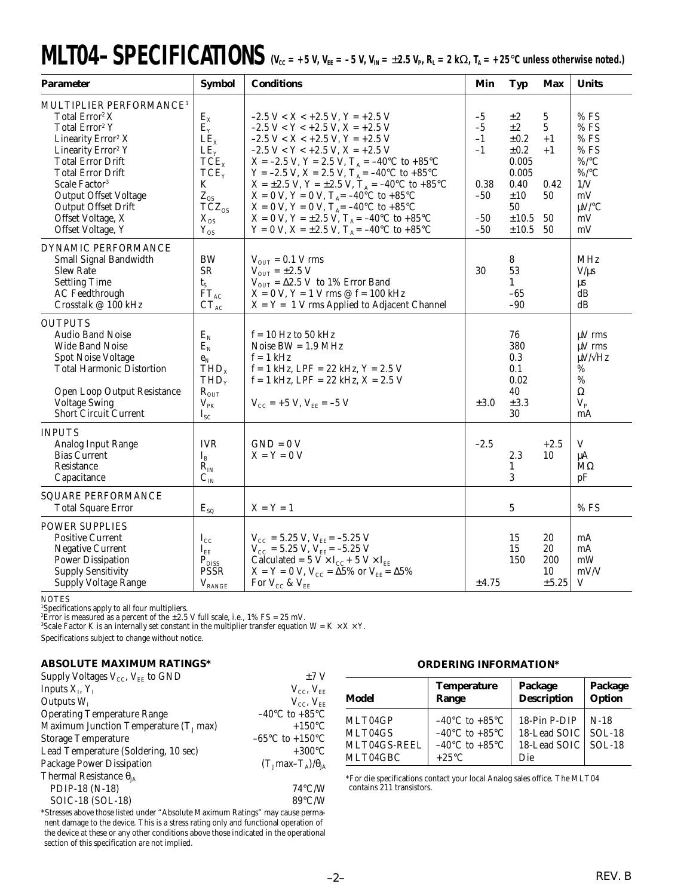# $MLTO4-SPECIFICATIONS$   $V_{cc} = +5 V, V_{EE} = -5 V, V_{IN} = \pm 2.5 V_{P}, R_L = 2 K\Omega, T_A = +25°C$  unless otherwise noted.)

| <b>Parameter</b>                                                                                                                                                                                                                                                                                                                                                 | <b>Symbol</b>                                                                                                                                | <b>Conditions</b>                                                                                                                                                                                                                                                                                                                                                                                                                                                                                                                                                                                  | Min                                                             | <b>Typ</b>                                                                                       | <b>Max</b>                                                      | <b>Units</b>                                                                                        |
|------------------------------------------------------------------------------------------------------------------------------------------------------------------------------------------------------------------------------------------------------------------------------------------------------------------------------------------------------------------|----------------------------------------------------------------------------------------------------------------------------------------------|----------------------------------------------------------------------------------------------------------------------------------------------------------------------------------------------------------------------------------------------------------------------------------------------------------------------------------------------------------------------------------------------------------------------------------------------------------------------------------------------------------------------------------------------------------------------------------------------------|-----------------------------------------------------------------|--------------------------------------------------------------------------------------------------|-----------------------------------------------------------------|-----------------------------------------------------------------------------------------------------|
| MULTIPLIER PERFORMANCE <sup>1</sup><br>Total Error <sup>2</sup> X<br>Total Error <sup>2</sup> Y<br>Linearity Error <sup>2</sup> X<br>Linearity Error <sup>2</sup> Y<br><b>Total Error Drift</b><br><b>Total Error Drift</b><br>Scale Factor <sup>3</sup><br><b>Output Offset Voltage</b><br><b>Output Offset Drift</b><br>Offset Voltage, X<br>Offset Voltage, Y | $E_X$<br>$E_{Y}$<br>LE <sub>x</sub><br>$LE_v$<br>TCE <sub>x</sub><br>TCE <sub>y</sub><br>K<br>$Z_{OS}$<br>$TCZ_{OS}$<br>$X_{OS}$<br>$Y_{OS}$ | $-2.5 V < X < +2.5 V$ , $Y = +2.5 V$<br>$-2.5 V < Y < +2.5 V, X = +2.5 V$<br>$-2.5 V < X < +2.5 V$ , $Y = +2.5 V$<br>$-2.5 V < Y < +2.5 V, X = +2.5 V$<br>$X = -2.5$ V, $Y = 2.5$ V, $T_A = -40$ °C to +85°C<br>Y = -2.5 V, X = 2.5 V, T <sub>A</sub> = -40°C to +85°C<br>$X = \pm 2.5$ V, Y = $\pm 2.5$ V, T <sub>A</sub> = -40°C to +85°C<br>$X = 0$ V, $Y = 0$ V, $T_A = -40^{\circ}C$ to $+85^{\circ}C$<br>$X = 0$ V, $Y = 0$ V, $T_A = -40^{\circ}C$ to $+85^{\circ}C$<br>$X = 0$ V, Y = ±2.5 V, T <sub>A</sub> = -40°C to +85°C<br>Y = 0 V, X = $\pm 2.5$ V, T <sub>A</sub> = -40°C to +85°C | $-5$<br>$-5$<br>$-1$<br>$-1$<br>0.38<br>$-50$<br>$-50$<br>$-50$ | $\pm 2$<br>$\pm 2$<br>±0.2<br>±0.2<br>0.005<br>0.005<br>0.40<br>±10<br>50<br>$\pm 10.5$<br>±10.5 | 5<br>$\mathbf{5}$<br>$+1$<br>$+1$<br>$0.42\,$<br>50<br>50<br>50 | $%$ FS<br>%FS<br>$\%$ FS<br>$%$ FS<br>$\%$ /°C<br>$\%$ /°C<br>$1/V$<br>mV<br>$\mu$ V/°C<br>mV<br>mV |
| DYNAMIC PERFORMANCE<br><b>Small Signal Bandwidth</b><br><b>Slew Rate</b><br><b>Settling Time</b><br><b>AC</b> Feedthrough<br>Crosstalk @ 100 kHz                                                                                                                                                                                                                 | <b>BW</b><br>${\sf SR}$<br>$t_{S}$<br>$FT_{AC}$<br>$CT_{AC}$                                                                                 | $V_{\text{OUT}} = 0.1 V$ rms<br>$V_{\text{OUT}} = \pm 2.5 \text{ V}$<br>$V_{\text{OUT}} = \Delta 2.5 \text{ V}$ to 1% Error Band<br>$X = 0$ V, $Y = 1$ V rms $\oslash$ f = 100 kHz<br>$X = Y = 1$ V rms Applied to Adjacent Channel                                                                                                                                                                                                                                                                                                                                                                | 30                                                              | 8<br>53<br>1<br>$-65$<br>-90                                                                     |                                                                 | MHz<br>$V/\mu s$<br>μs<br>dB<br>dB                                                                  |
| <b>OUTPUTS</b><br><b>Audio Band Noise</b><br><b>Wide Band Noise</b><br><b>Spot Noise Voltage</b><br><b>Total Harmonic Distortion</b><br>Open Loop Output Resistance<br><b>Voltage Swing</b><br><b>Short Circuit Current</b>                                                                                                                                      | $E_N$<br>$E_N$<br>$\mathbf{e}_\text{N}$<br>THD <sub>x</sub><br>THD <sub>y</sub><br>$R_{OUT}$<br>$V_{PK}$<br>$I_{\rm SC}$                     | $f = 10$ Hz to 50 kHz<br>Noise $BW = 1.9 MHz$<br>$f = 1$ kHz<br>$f = 1$ kHz, LPF = 22 kHz, Y = 2.5 V<br>$f = 1$ kHz, LPF = 22 kHz, $X = 2.5$ V<br>$V_{\text{CC}}$ = +5 V, $V_{\text{EE}}$ = -5 V                                                                                                                                                                                                                                                                                                                                                                                                   | $\pm 3.0$                                                       | 76<br>380<br>0.3<br>0.1<br>0.02<br>40<br>±3.3<br>30                                              |                                                                 | $\mu$ V rms<br>$\mu$ V rms<br>$\mu$ V/ $\sqrt{Hz}$<br>%<br>$\%$<br>Ω<br>$V_{P}$<br>mA               |
| <b>INPUTS</b><br><b>Analog Input Range</b><br><b>Bias Current</b><br>Resistance<br>Capacitance                                                                                                                                                                                                                                                                   | <b>IVR</b><br>$I_{B}$<br>$R_{IN}$<br>$C_{IN}$                                                                                                | $GND = 0 V$<br>$X = Y = 0 V$                                                                                                                                                                                                                                                                                                                                                                                                                                                                                                                                                                       | $-2.5$                                                          | 2.3<br>$\mathbf{1}$<br>3                                                                         | $+2.5$<br>10                                                    | V<br>μA<br>$M\Omega$<br>pF                                                                          |
| <b>SQUARE PERFORMANCE</b><br><b>Total Square Error</b>                                                                                                                                                                                                                                                                                                           | $E_{SQ}$                                                                                                                                     | $X = Y = 1$                                                                                                                                                                                                                                                                                                                                                                                                                                                                                                                                                                                        |                                                                 | 5                                                                                                |                                                                 | %FS                                                                                                 |
| <b>POWER SUPPLIES</b><br><b>Positive Current</b><br><b>Negative Current</b><br><b>Power Dissipation</b><br><b>Supply Sensitivity</b><br><b>Supply Voltage Range</b>                                                                                                                                                                                              | $I_{\rm CC}$<br>$I_{EE}$<br>$\mathbf{P}_{\mathrm{DISS}}$<br><b>PSSR</b><br>$V_{\mbox{\tiny RANGE}}$                                          | $V_{\text{CC}} = 5.25 \text{ V}, V_{\text{EE}} = -5.25 \text{ V}$<br>$V_{\text{CC}} = 5.25 \text{ V}, V_{\text{EE}} = -5.25 \text{ V}$<br>Calculated = $5$ V $\times$ I <sub>CC</sub> + $5$ V $\times$ I <sub>EE</sub><br>$X = Y = 0$ V, $V_{CC} = \Delta 5\%$ or $V_{EE} = \Delta 5\%$<br>For $V_{CC}$ & $V_{EE}$                                                                                                                                                                                                                                                                                 | $\pm 4.75$                                                      | 15<br>15<br>150                                                                                  | 20<br>20<br>200<br>10<br>$\pm 5.25$                             | mA<br>mA<br>mW<br>mV/V<br>V                                                                         |

NOTES 1 Specifications apply to all four multipliers. 2 Error is measured as a percent of the ±2.5 V full scale, i.e., 1% FS = 25 mV.

 $^3$ Scale Factor K is an internally set constant in the multiplier transfer equation W = K  $\times$  X  $\times$  Y.

Specifications subject to change without notice.

### **ABSOLUTE MAXIMUM RATINGS\***

| Supply Voltages $V_{CC}$ , $V_{EF}$ to GND       | ±7V                                  |
|--------------------------------------------------|--------------------------------------|
| Inputs $X_{I}$ , $Y_{I}$                         | $V_{CC}$ , $V_{EF}$                  |
| Outputs $W_{I}$                                  | $V_{CC}$ , $V_{EF}$                  |
| <b>Operating Temperature Range</b>               | $-40^{\circ}$ C to $+85^{\circ}$ C   |
| Maximum Junction Temperature $(T_1 \text{ max})$ | $+150^{\circ}$ C                     |
| <b>Storage Temperature</b>                       | $-65^{\circ}$ C to $+150^{\circ}$ C  |
| Lead Temperature (Soldering, 10 sec)             | $+300^{\circ}$ C                     |
| Package Power Dissipation                        | $(T_1 \text{max} - T_A)/\theta_{IA}$ |
| Thermal Resistance $\theta_{JA}$                 |                                      |
| PDIP-18 (N-18)                                   | $74^{\circ}$ C/W                     |
| SOIC-18 (SOL-18)                                 | $89^{\circ}$ C/W                     |

\*Stresses above those listed under "Absolute Maximum Ratings" may cause permanent damage to the device. This is a stress rating only and functional operation of the device at these or any other conditions above those indicated in the operational section of this specification are not implied.

### **ORDERING INFORMATION\***

| Model        | <b>Temperature</b><br>Range        | Package<br><b>Description</b> | Package<br>Option |
|--------------|------------------------------------|-------------------------------|-------------------|
| MLT04GP      | $-40^{\circ}$ C to $+85^{\circ}$ C | 18-Pin P-DIP                  | $N-18$            |
| MLT04GS      | $-40^{\circ}$ C to $+85^{\circ}$ C | 18-Lead SOIC   SOL-18         |                   |
| MLT04GS-REEL | $-40^{\circ}$ C to $+85^{\circ}$ C | 18-Lead SOIC SOL-18           |                   |
| MLT04GBC     | $+25^{\circ}$ C                    | Die                           |                   |

\*For die specifications contact your local Analog sales office. The MLT04 contains 211 transistors.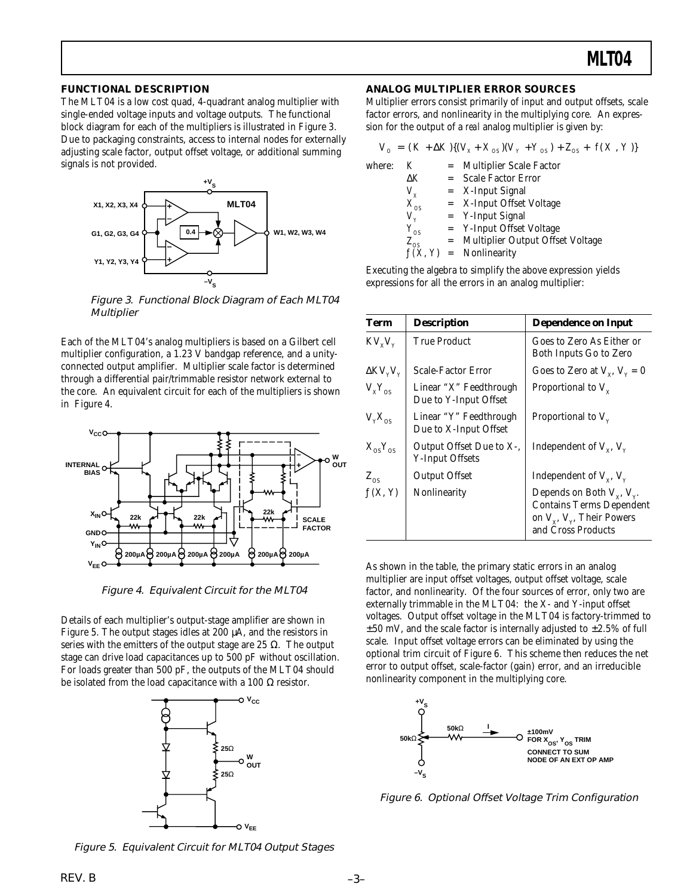### **FUNCTIONAL DESCRIPTION**

The MLT04 is a low cost quad, 4-quadrant analog multiplier with single-ended voltage inputs and voltage outputs. The functional block diagram for each of the multipliers is illustrated in Figure 3. Due to packaging constraints, access to internal nodes for externally adjusting scale factor, output offset voltage, or additional summing signals is not provided.



Figure 3. Functional Block Diagram of Each MLT04 **Multiplier** 

Each of the MLT04's analog multipliers is based on a Gilbert cell multiplier configuration, a 1.23 V bandgap reference, and a unityconnected output amplifier. Multiplier scale factor is determined through a differential pair/trimmable resistor network external to the core. An equivalent circuit for each of the multipliers is shown in Figure 4.



Figure 4. Equivalent Circuit for the MLT04

Details of each multiplier's output-stage amplifier are shown in Figure 5. The output stages idles at 200 µA, and the resistors in series with the emitters of the output stage are 25  $\Omega$ . The output stage can drive load capacitances up to 500 pF without oscillation. For loads greater than 500 pF, the outputs of the MLT04 should be isolated from the load capacitance with a 100 Ω resistor.



**ANALOG MULTIPLIER ERROR SOURCES**

Multiplier errors consist primarily of input and output offsets, scale factor errors, and nonlinearity in the multiplying core. An expression for the output of a *real* analog multiplier is given by:

|        |             | $V_0 = (K + \Delta K)(V_x + X_{0S})(V_y + Y_{0S}) + Z_{0S} + f(X, Y))$ |
|--------|-------------|------------------------------------------------------------------------|
| where: | K           | = Multiplier Scale Factor                                              |
|        | ΔΚ          | = Scale Factor Error                                                   |
|        | $V_{\chi}$  | $=$ X-Input Signal                                                     |
|        | $X_{_{OS}}$ | $=$ X-Input Offset Voltage                                             |
|        | $V_{\rm v}$ | $=$ Y-Input Signal                                                     |
|        | $Y_{OS}$    | = Y-Input Offset Voltage                                               |
|        | $Z_{_{OS}}$ | = Multiplier Output Offset Voltage                                     |
|        |             | $f(X, Y)$ = Nonlinearity                                               |
|        |             |                                                                        |

Executing the algebra to simplify the above expression yields expressions for all the errors in an analog multiplier:

| Term                                    | <b>Description</b>                                 | <b>Dependence on Input</b>                                                                                                      |
|-----------------------------------------|----------------------------------------------------|---------------------------------------------------------------------------------------------------------------------------------|
| $KV_xV_y$                               | True Product                                       | Goes to Zero As Either or<br>Both Inputs Go to Zero                                                                             |
| $\Delta$ KV <sub>y</sub> V <sub>y</sub> | <b>Scale-Factor Error</b>                          | Goes to Zero at $V_y$ , $V_y = 0$                                                                                               |
| $V_{x}Y_{\alpha s}$                     | Linear "X" Feedthrough<br>Due to Y-Input Offset    | Proportional to $V_{v}$                                                                                                         |
| $V_{v}X_{os}$                           | Linear "Y" Feedthrough<br>Due to X-Input Offset    | Proportional to $V_{v}$                                                                                                         |
| $X_{OS}Y_{OS}$                          | Output Offset Due to X-,<br><b>Y-Input Offsets</b> | Independent of $V_{x}$ , $V_{y}$                                                                                                |
| $Z_{\rm os}$                            | <b>Output Offset</b>                               | Independent of $V_{x}$ , $V_{y}$                                                                                                |
| f(X, Y)                                 | Nonlinearity                                       | Depends on Both $V_x$ , $V_y$ .<br><b>Contains Terms Dependent</b><br>on $V_{x}$ , $V_{y}$ , Their Powers<br>and Cross Products |

As shown in the table, the primary static errors in an analog multiplier are input offset voltages, output offset voltage, scale factor, and nonlinearity. Of the four sources of error, only two are externally trimmable in the MLT04: the X- and Y-input offset voltages. Output offset voltage in the MLT04 is factory-trimmed to  $\pm 50$  mV, and the scale factor is internally adjusted to  $\pm 2.5\%$  of full scale. Input offset voltage errors can be eliminated by using the optional trim circuit of Figure 6. This scheme then reduces the net error to output offset, scale-factor (gain) error, and an irreducible nonlinearity component in the multiplying core.



Figure 6. Optional Offset Voltage Trim Configuration

Figure 5. Equivalent Circuit for MLT04 Output Stages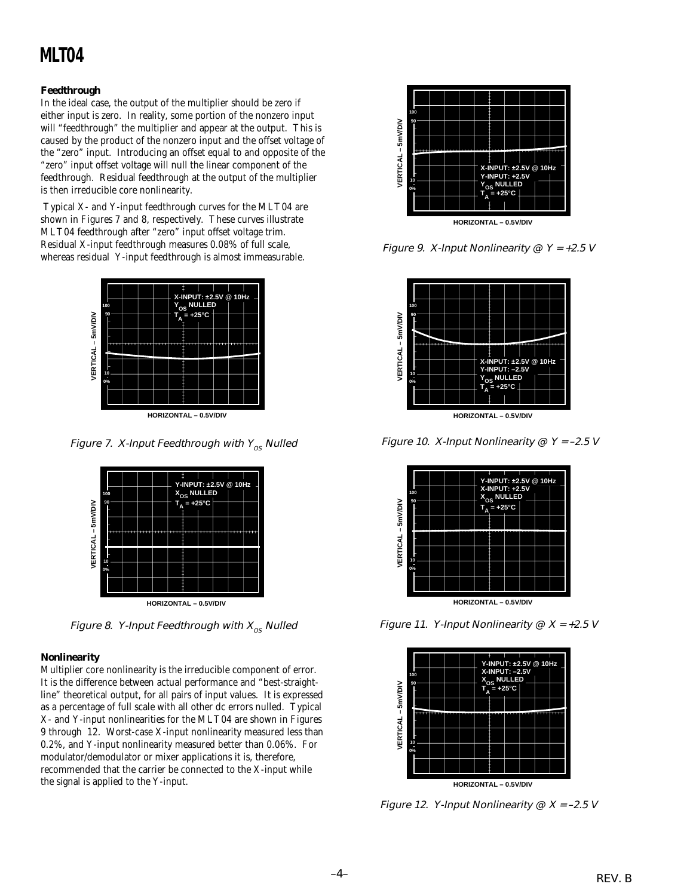### **Feedthrough**

In the ideal case, the output of the multiplier should be zero if either input is zero. In reality, some portion of the nonzero input will "feedthrough" the multiplier and appear at the output. This is caused by the product of the nonzero input and the offset voltage of the "zero" input. Introducing an offset equal to and opposite of the "zero" input offset voltage will null the linear component of the feedthrough. Residual feedthrough at the output of the multiplier is then irreducible core nonlinearity.

 Typical X- and Y-input feedthrough curves for the MLT04 are shown in Figures 7 and 8, respectively. These curves illustrate MLT04 feedthrough after "zero" input offset voltage trim. Residual X-input feedthrough measures 0.08% of full scale, whereas residual Y-input feedthrough is almost immeasurable.



**HORIZONTAL – 0.5V/DIV**

Figure 7. X-Input Feedthrough with  $Y_{OS}$  Nulled



Figure 8. Y-Input Feedthrough with  $X_{\text{os}}$  Nulled

### **Nonlinearity**

Multiplier core nonlinearity is the irreducible component of error. It is the difference between actual performance and "best-straightline" theoretical output, for all pairs of input values. It is expressed as a percentage of full scale with all other dc errors nulled. Typical X- and Y-input nonlinearities for the MLT04 are shown in Figures 9 through 12. Worst-case X-input nonlinearity measured less than 0.2%, and Y-input nonlinearity measured better than 0.06%. For modulator/demodulator or mixer applications it is, therefore, recommended that the carrier be connected to the X-input while the signal is applied to the Y-input.



Figure 9. X-Input Nonlinearity  $@$  Y = +2.5 V



Figure 10. X-Input Nonlinearity  $@$  Y = -2.5 V



Figure 11. Y-Input Nonlinearity  $@ X = +2.5 V$ 



Figure 12. Y-Input Nonlinearity  $\mathcal{Q}$  X = -2.5 V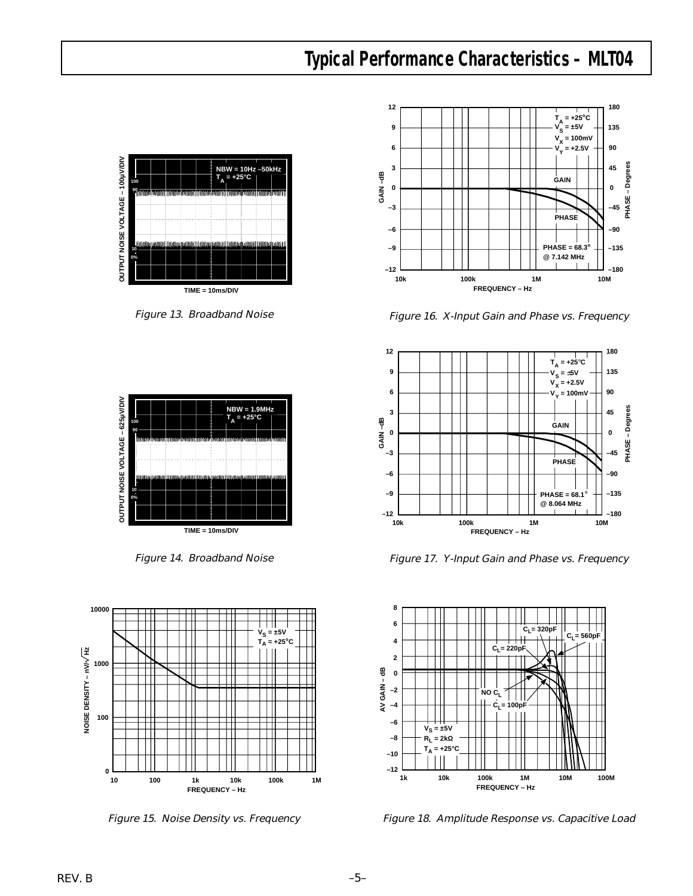### **Typical Performance Characteristics – MLT04**



Figure 13. Broadband Noise



Figure 14. Broadband Noise





Figure 16. X-Input Gain and Phase vs. Frequency



Figure 17. Y-Input Gain and Phase vs. Frequency



Figure 15. Noise Density vs. Frequency Figure 18. Amplitude Response vs. Capacitive Load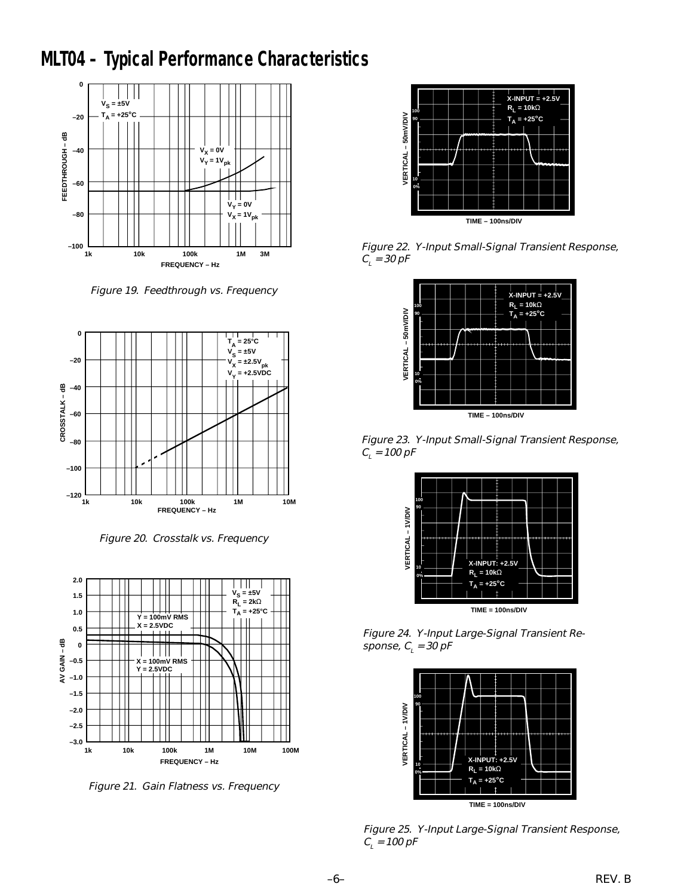## **MLT04 – Typical Performance Characteristics**



Figure 19. Feedthrough vs. Frequency



Figure 20. Crosstalk vs. Frequency



Figure 21. Gain Flatness vs. Frequency



Figure 22. Y-Input Small-Signal Transient Response,  $C_{_L}$  = 30 pF



Figure 23. Y-Input Small-Signal Transient Response,  $C_i$  = 100 pF



Figure 24. Y-Input Large-Signal Transient Response, C<sub>L</sub> = 30 pF



Figure 25. Y-Input Large-Signal Transient Response,  $C_{\scriptscriptstyle\! L}$  = 100 pF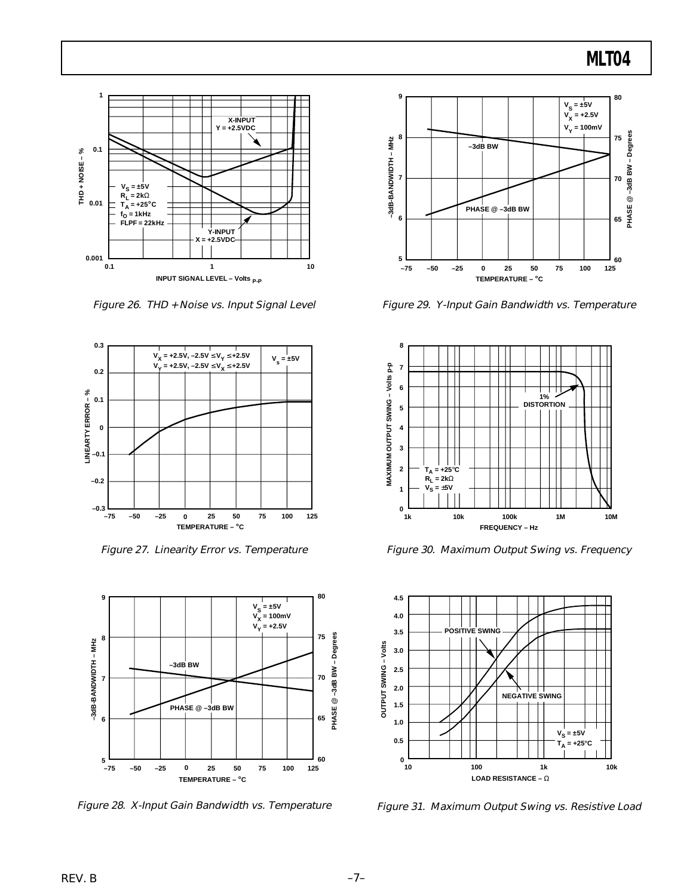

Figure 26. THD + Noise vs. Input Signal Level



Figure 27. Linearity Error vs. Temperature



Figure 28. X-Input Gain Bandwidth vs. Temperature



Figure 29. Y-Input Gain Bandwidth vs. Temperature



Figure 30. Maximum Output Swing vs. Frequency



Figure 31. Maximum Output Swing vs. Resistive Load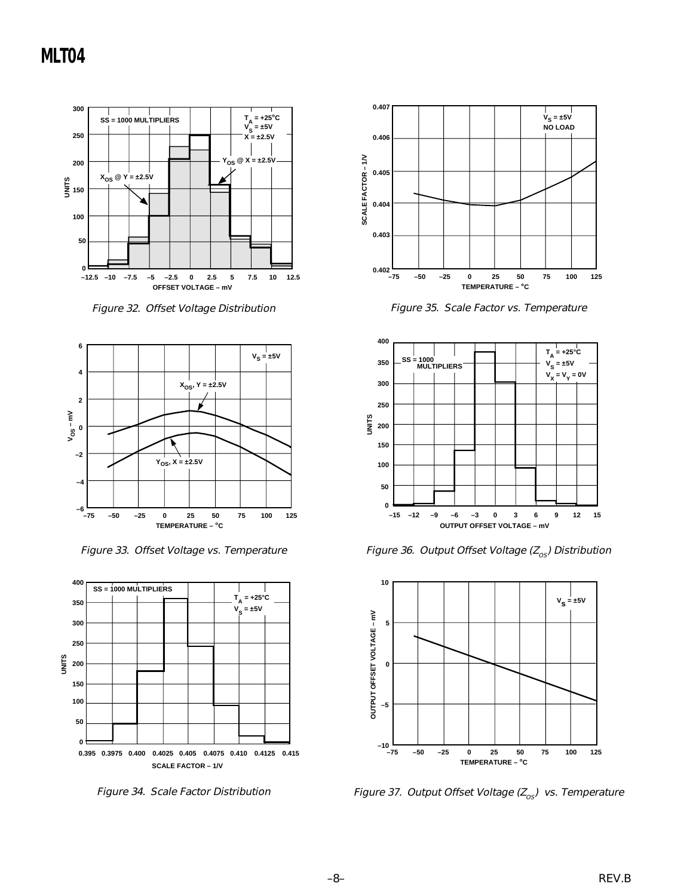

Figure 32. Offset Voltage Distribution



Figure 33. Offset Voltage vs. Temperature



Figure 34. Scale Factor Distribution



Figure 35. Scale Factor vs. Temperature



Figure 36. Output Offset Voltage ( $Z_{os}$ ) Distribution



Figure 37. Output Offset Voltage  $(Z_{os})$  vs. Temperature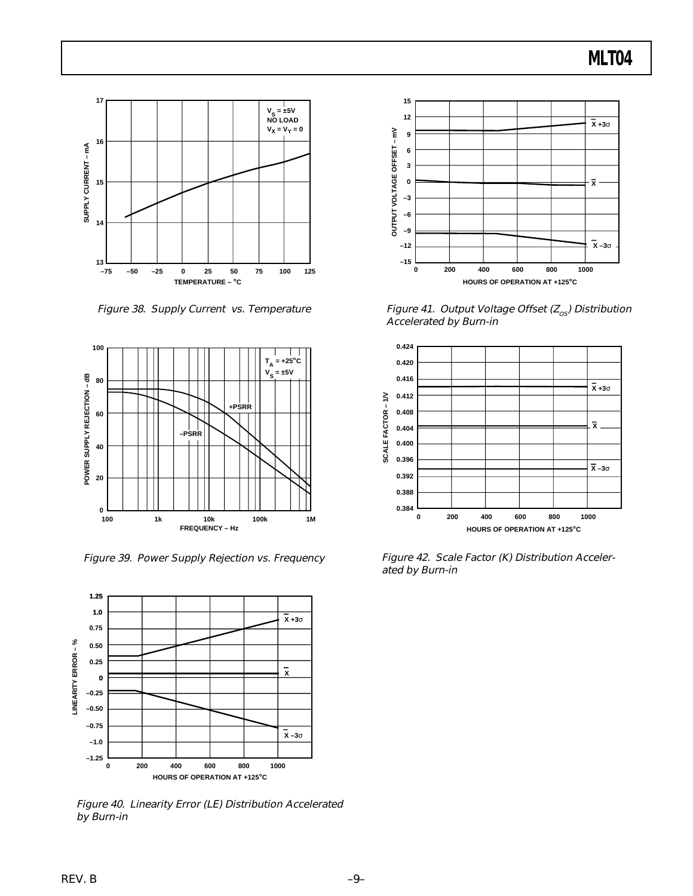

Figure 38. Supply Current vs. Temperature



Figure 39. Power Supply Rejection vs. Frequency



Figure 40. Linearity Error (LE) Distribution Accelerated by Burn-in



Figure 41. Output Voltage Offset ( $Z_{os}$ ) Distribution Accelerated by Burn-in



Figure 42. Scale Factor (K) Distribution Accelerated by Burn-in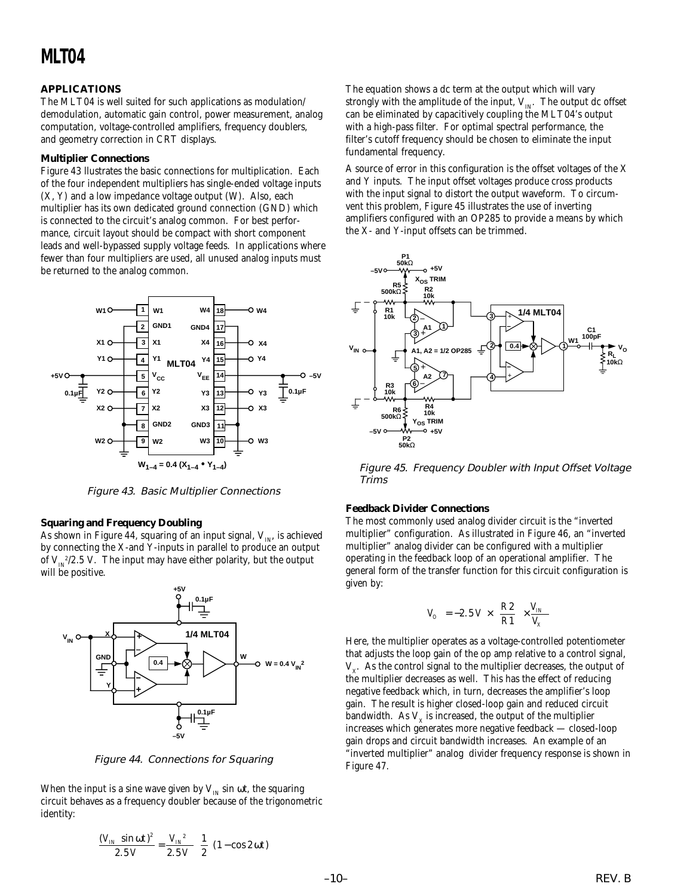### **APPLICATIONS**

The MLT04 is well suited for such applications as modulation/ demodulation, automatic gain control, power measurement, analog computation, voltage-controlled amplifiers, frequency doublers, and geometry correction in CRT displays.

### **Multiplier Connections**

Figure 43 llustrates the basic connections for multiplication. Each of the four independent multipliers has single-ended voltage inputs (X, Y) and a low impedance voltage output (W). Also, each multiplier has its own dedicated ground connection (GND) which is connected to the circuit's analog common. For best performance, circuit layout should be compact with short component leads and well-bypassed supply voltage feeds. In applications where fewer than four multipliers are used, all unused analog inputs must be returned to the analog common.



Figure 43. Basic Multiplier Connections

### **Squaring and Frequency Doubling**

As shown in Figure 44, squaring of an input signal,  $V_{IN}$ , is achieved by connecting the X-and Y-inputs in parallel to produce an output of  $V_{IN}^2/2.5$  V. The input may have either polarity, but the output will be positive.



Figure 44. Connections for Squaring

When the input is a sine wave given by  $V_{IN}$  sin  $\omega t$ , the squaring circuit behaves as a frequency doubler because of the trigonometric identity:

$$
\frac{(V_{IN} \sin \omega t)^2}{2.5 V} = \frac{V_{IN}^2}{2.5 V} \left(\frac{1}{2}\right) (1 - \cos 2 \omega t)
$$

The equation shows a dc term at the output which will vary strongly with the amplitude of the input,  $V_{IN}$ . The output dc offset can be eliminated by capacitively coupling the MLT04's output with a high-pass filter. For optimal spectral performance, the filter's cutoff frequency should be chosen to eliminate the input fundamental frequency.

A source of error in this configuration is the offset voltages of the X and Y inputs. The input offset voltages produce cross products with the input signal to distort the output waveform. To circumvent this problem, Figure 45 illustrates the use of inverting amplifiers configured with an OP285 to provide a means by which the X- and Y-input offsets can be trimmed.



Figure 45. Frequency Doubler with Input Offset Voltage Trims

#### **Feedback Divider Connections**

The most commonly used analog divider circuit is the "inverted multiplier" configuration. As illustrated in Figure 46, an "inverted multiplier" analog divider can be configured with a multiplier operating in the feedback loop of an operational amplifier. The general form of the transfer function for this circuit configuration is given by:

$$
V_{o} = -2.5 \ V \times \left(\frac{R2}{R1}\right) \times \frac{V_{IN}}{V_{X}}
$$

Here, the multiplier operates as a voltage-controlled potentiometer that adjusts the loop gain of the op amp relative to a control signal,  $V_{x}$ . As the control signal to the multiplier decreases, the output of the multiplier decreases as well. This has the effect of reducing negative feedback which, in turn, decreases the amplifier's loop gain. The result is higher closed-loop gain and reduced circuit bandwidth. As  $V<sub>x</sub>$  is increased, the output of the multiplier increases which generates more negative feedback — closed-loop gain drops and circuit bandwidth increases. An example of an "inverted multiplier" analog divider frequency response is shown in Figure 47.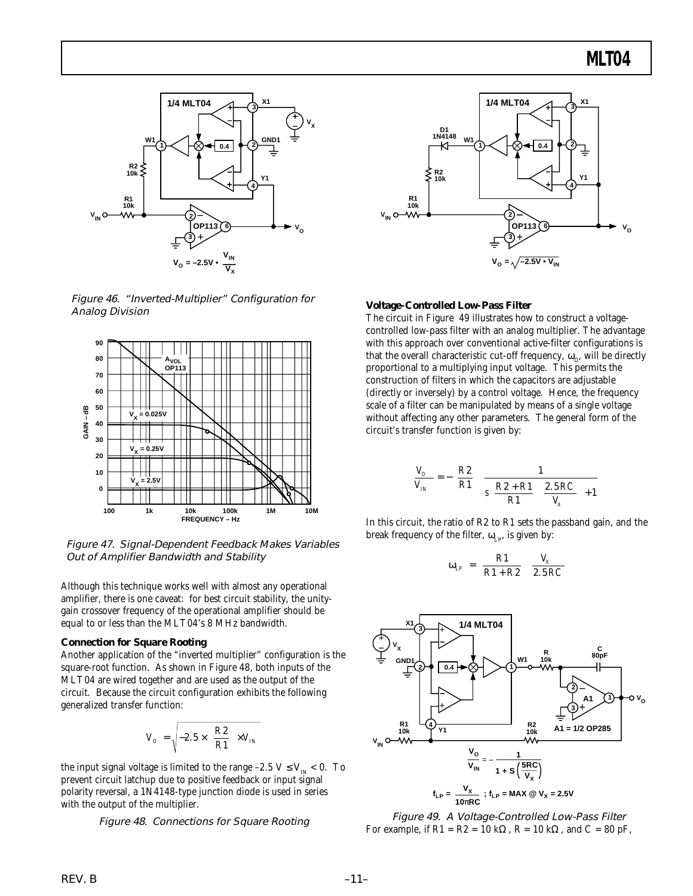

Figure 46. "Inverted-Multiplier" Configuration for Analog Division



Figure 47. Signal-Dependent Feedback Makes Variables Out of Amplifier Bandwidth and Stability

Although this technique works well with almost any operational amplifier, there is one caveat: for best circuit stability, the unitygain crossover frequency of the operational amplifier should be equal to or less than the MLT04's 8 MHz bandwidth.

#### **Connection for Square Rooting**

Another application of the "inverted multiplier" configuration is the square-root function. As shown in Figure 48, both inputs of the MLT04 are wired together and are used as the output of the circuit. Because the circuit configuration exhibits the following generalized transfer function:

$$
V_o = \sqrt{-2.5 \times \left(\frac{R2}{R1}\right) \times V_{IN}}
$$

the input signal voltage is limited to the range –2.5 V  $\leq$  V<sub>IN</sub>  $<$  0. To prevent circuit latchup due to positive feedback or input signal polarity reversal, a 1N4148-type junction diode is used in series with the output of the multiplier.

Figure 48. Connections for Square Rooting



#### **Voltage-Controlled Low-Pass Filter**

The circuit in Figure 49 illustrates how to construct a voltagecontrolled low-pass filter with an analog multiplier. The advantage with this approach over conventional active-filter configurations is that the overall characteristic cut-off frequency,  $\omega_{\text{o}}$ , will be directly proportional to a multiplying input voltage. This permits the construction of filters in which the capacitors are adjustable (directly or inversely) by a control voltage. Hence, the frequency scale of a filter can be manipulated by means of a single voltage without affecting any other parameters. The general form of the circuit's transfer function is given by:

$$
\frac{V_O}{V_{IN}} = -\left(\frac{R2}{R1}\right)\left\{\frac{1}{\sqrt{\frac{R2+R1}{R1}\left(\frac{2.5RC}{V_X}\right)+1}}\right\}
$$

In this circuit, the ratio of R2 to R1 sets the passband gain, and the break frequency of the filter,  $\omega_{LP}$ , is given by:

$$
\omega_{LP} = \left(\frac{R1}{R1 + R2}\right)\left(\frac{V_x}{2.5RC}\right)
$$



Figure 49. A Voltage-Controlled Low-Pass Filter For example, if  $R1 = R2 = 10 \text{ k}\Omega$ ,  $R = 10 \text{ k}\Omega$ , and  $C = 80 \text{ pF}$ ,